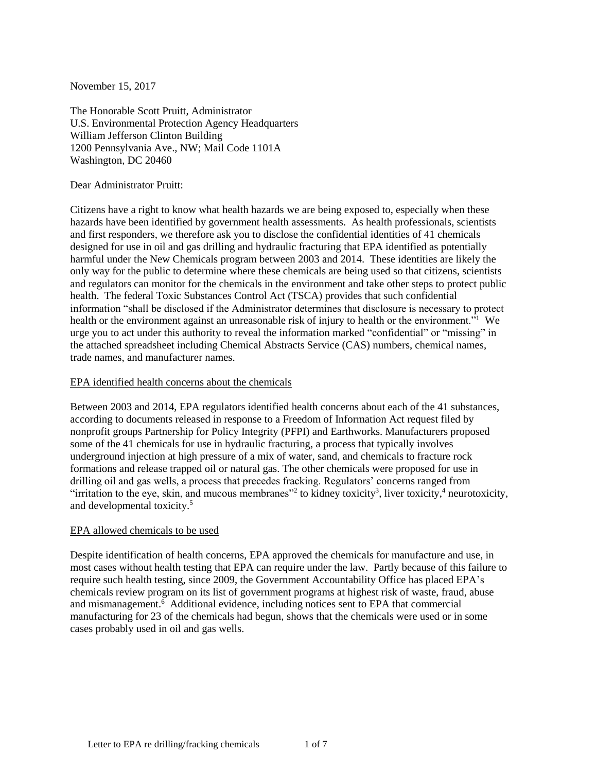November 15, 2017

The Honorable Scott Pruitt, Administrator U.S. Environmental Protection Agency Headquarters William Jefferson Clinton Building 1200 Pennsylvania Ave., NW; Mail Code 1101A Washington, DC 20460

Dear Administrator Pruitt:

Citizens have a right to know what health hazards we are being exposed to, especially when these hazards have been identified by government health assessments. As health professionals, scientists and first responders, we therefore ask you to disclose the confidential identities of 41 chemicals designed for use in oil and gas drilling and hydraulic fracturing that EPA identified as potentially harmful under the New Chemicals program between 2003 and 2014. These identities are likely the only way for the public to determine where these chemicals are being used so that citizens, scientists and regulators can monitor for the chemicals in the environment and take other steps to protect public health. The federal Toxic Substances Control Act (TSCA) provides that such confidential information "shall be disclosed if the Administrator determines that disclosure is necessary to protect health or the environment against an unreasonable risk of injury to health or the environment."<sup>1</sup> We urge you to act under this authority to reveal the information marked "confidential" or "missing" in the attached spreadsheet including Chemical Abstracts Service (CAS) numbers, chemical names, trade names, and manufacturer names.

#### EPA identified health concerns about the chemicals

Between 2003 and 2014, EPA regulators identified health concerns about each of the 41 substances, according to documents released in response to a Freedom of Information Act request filed by nonprofit groups Partnership for Policy Integrity (PFPI) and Earthworks. Manufacturers proposed some of the 41 chemicals for use in hydraulic fracturing, a process that typically involves underground injection at high pressure of a mix of water, sand, and chemicals to fracture rock formations and release trapped oil or natural gas. The other chemicals were proposed for use in drilling oil and gas wells, a process that precedes fracking. Regulators' concerns ranged from "irritation to the eye, skin, and mucous membranes"<sup>2</sup> to kidney toxicity<sup>3</sup>, liver toxicity, <sup>4</sup> neurotoxicity, and developmental toxicity. 5

## EPA allowed chemicals to be used

Despite identification of health concerns, EPA approved the chemicals for manufacture and use, in most cases without health testing that EPA can require under the law. Partly because of this failure to require such health testing, since 2009, the Government Accountability Office has placed EPA's chemicals review program on its list of government programs at highest risk of waste, fraud, abuse and mismanagement.<sup>6</sup> Additional evidence, including notices sent to EPA that commercial manufacturing for 23 of the chemicals had begun, shows that the chemicals were used or in some cases probably used in oil and gas wells.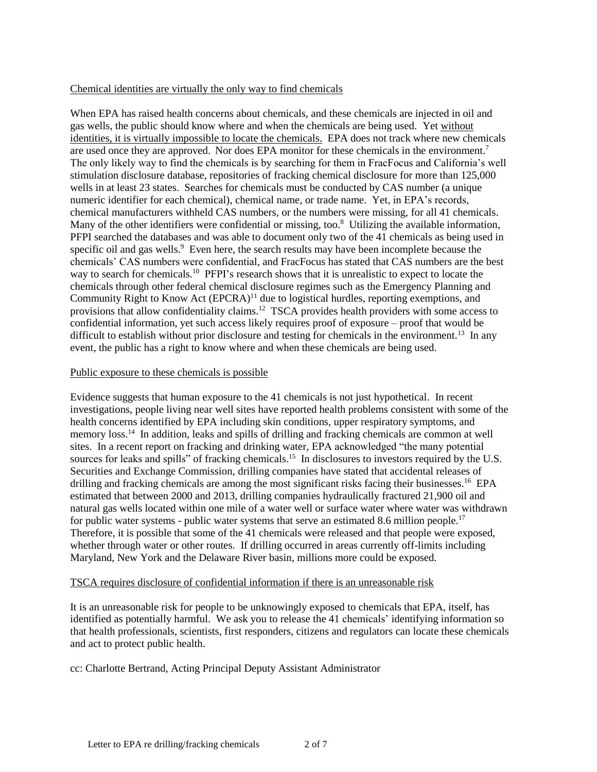## Chemical identities are virtually the only way to find chemicals

When EPA has raised health concerns about chemicals, and these chemicals are injected in oil and gas wells, the public should know where and when the chemicals are being used. Yet without identities, it is virtually impossible to locate the chemicals. EPA does not track where new chemicals are used once they are approved. Nor does EPA monitor for these chemicals in the environment.<sup>7</sup> The only likely way to find the chemicals is by searching for them in FracFocus and California's well stimulation disclosure database, repositories of fracking chemical disclosure for more than 125,000 wells in at least 23 states. Searches for chemicals must be conducted by CAS number (a unique numeric identifier for each chemical), chemical name, or trade name. Yet, in EPA's records, chemical manufacturers withheld CAS numbers, or the numbers were missing, for all 41 chemicals. Many of the other identifiers were confidential or missing, too.<sup>8</sup> Utilizing the available information, PFPI searched the databases and was able to document only two of the 41 chemicals as being used in specific oil and gas wells.<sup>9</sup> Even here, the search results may have been incomplete because the chemicals' CAS numbers were confidential, and FracFocus has stated that CAS numbers are the best way to search for chemicals.<sup>10</sup> PFPI's research shows that it is unrealistic to expect to locate the chemicals through other federal chemical disclosure regimes such as the Emergency Planning and Community Right to Know Act (EPCRA)<sup>11</sup> due to logistical hurdles, reporting exemptions, and provisions that allow confidentiality claims.<sup>12</sup> TSCA provides health providers with some access to confidential information, yet such access likely requires proof of exposure – proof that would be difficult to establish without prior disclosure and testing for chemicals in the environment.<sup>13</sup> In any event, the public has a right to know where and when these chemicals are being used.

# Public exposure to these chemicals is possible

Evidence suggests that human exposure to the 41 chemicals is not just hypothetical. In recent investigations, people living near well sites have reported health problems consistent with some of the health concerns identified by EPA including skin conditions, upper respiratory symptoms, and memory loss.<sup>14</sup> In addition, leaks and spills of drilling and fracking chemicals are common at well sites. In a recent report on fracking and drinking water, EPA acknowledged "the many potential sources for leaks and spills" of fracking chemicals.<sup>15</sup> In disclosures to investors required by the U.S. Securities and Exchange Commission, drilling companies have stated that accidental releases of drilling and fracking chemicals are among the most significant risks facing their businesses.<sup>16</sup> EPA estimated that between 2000 and 2013, drilling companies hydraulically fractured 21,900 oil and natural gas wells located within one mile of a water well or surface water where water was withdrawn for public water systems - public water systems that serve an estimated 8.6 million people.<sup>17</sup> Therefore, it is possible that some of the 41 chemicals were released and that people were exposed, whether through water or other routes. If drilling occurred in areas currently off-limits including Maryland, New York and the Delaware River basin, millions more could be exposed.

## TSCA requires disclosure of confidential information if there is an unreasonable risk

It is an unreasonable risk for people to be unknowingly exposed to chemicals that EPA, itself, has identified as potentially harmful. We ask you to release the 41 chemicals' identifying information so that health professionals, scientists, first responders, citizens and regulators can locate these chemicals and act to protect public health.

cc: Charlotte Bertrand, Acting Principal Deputy Assistant Administrator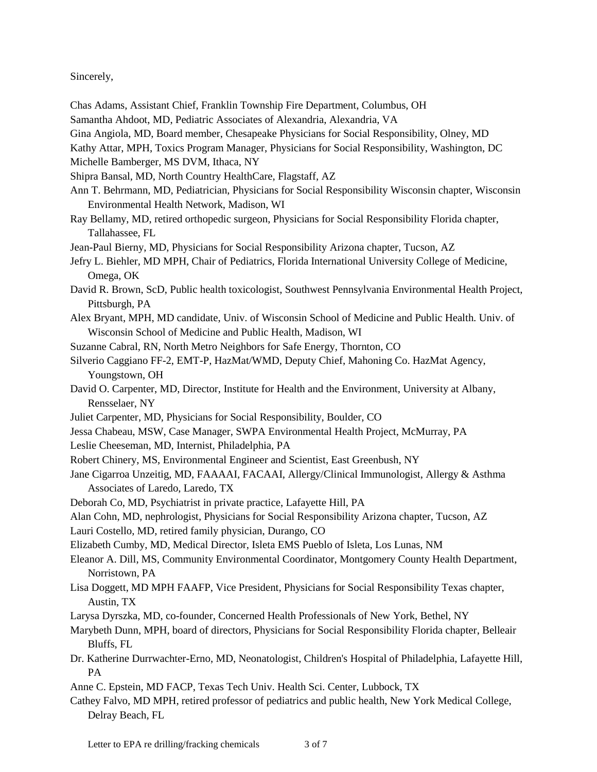## Sincerely,

- Chas Adams, Assistant Chief, Franklin Township Fire Department, Columbus, OH
- Samantha Ahdoot, MD, Pediatric Associates of Alexandria, Alexandria, VA
- Gina Angiola, MD, Board member, Chesapeake Physicians for Social Responsibility, Olney, MD
- Kathy Attar, MPH, Toxics Program Manager, Physicians for Social Responsibility, Washington, DC Michelle Bamberger, MS DVM, Ithaca, NY
- Shipra Bansal, MD, North Country HealthCare, Flagstaff, AZ
- Ann T. Behrmann, MD, Pediatrician, Physicians for Social Responsibility Wisconsin chapter, Wisconsin Environmental Health Network, Madison, WI
- Ray Bellamy, MD, retired orthopedic surgeon, Physicians for Social Responsibility Florida chapter, Tallahassee, FL
- Jean-Paul Bierny, MD, Physicians for Social Responsibility Arizona chapter, Tucson, AZ
- Jefry L. Biehler, MD MPH, Chair of Pediatrics, Florida International University College of Medicine, Omega, OK
- David R. Brown, ScD, Public health toxicologist, Southwest Pennsylvania Environmental Health Project, Pittsburgh, PA
- Alex Bryant, MPH, MD candidate, Univ. of Wisconsin School of Medicine and Public Health. Univ. of Wisconsin School of Medicine and Public Health, Madison, WI
- Suzanne Cabral, RN, North Metro Neighbors for Safe Energy, Thornton, CO
- Silverio Caggiano FF-2, EMT-P, HazMat/WMD, Deputy Chief, Mahoning Co. HazMat Agency, Youngstown, OH
- David O. Carpenter, MD, Director, Institute for Health and the Environment, University at Albany, Rensselaer, NY
- Juliet Carpenter, MD, Physicians for Social Responsibility, Boulder, CO
- Jessa Chabeau, MSW, Case Manager, SWPA Environmental Health Project, McMurray, PA
- Leslie Cheeseman, MD, Internist, Philadelphia, PA
- Robert Chinery, MS, Environmental Engineer and Scientist, East Greenbush, NY
- Jane Cigarroa Unzeitig, MD, FAAAAI, FACAAI, Allergy/Clinical Immunologist, Allergy & Asthma Associates of Laredo, Laredo, TX
- Deborah Co, MD, Psychiatrist in private practice, Lafayette Hill, PA
- Alan Cohn, MD, nephrologist, Physicians for Social Responsibility Arizona chapter, Tucson, AZ
- Lauri Costello, MD, retired family physician, Durango, CO
- Elizabeth Cumby, MD, Medical Director, Isleta EMS Pueblo of Isleta, Los Lunas, NM
- Eleanor A. Dill, MS, Community Environmental Coordinator, Montgomery County Health Department, Norristown, PA
- Lisa Doggett, MD MPH FAAFP, Vice President, Physicians for Social Responsibility Texas chapter, Austin, TX
- Larysa Dyrszka, MD, co-founder, Concerned Health Professionals of New York, Bethel, NY
- Marybeth Dunn, MPH, board of directors, Physicians for Social Responsibility Florida chapter, Belleair Bluffs, FL
- Dr. Katherine Durrwachter-Erno, MD, Neonatologist, Children's Hospital of Philadelphia, Lafayette Hill, PA
- Anne C. Epstein, MD FACP, Texas Tech Univ. Health Sci. Center, Lubbock, TX
- Cathey Falvo, MD MPH, retired professor of pediatrics and public health, New York Medical College, Delray Beach, FL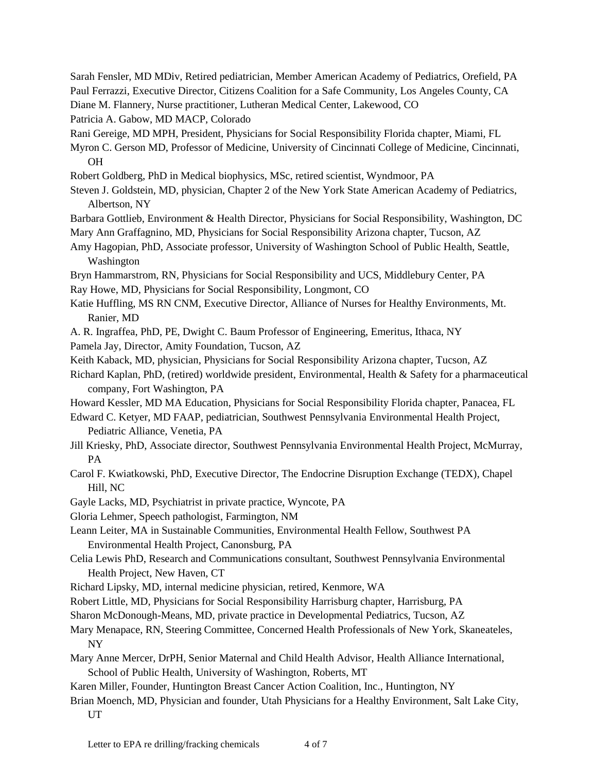Sarah Fensler, MD MDiv, Retired pediatrician, Member American Academy of Pediatrics, Orefield, PA Paul Ferrazzi, Executive Director, Citizens Coalition for a Safe Community, Los Angeles County, CA

Diane M. Flannery, Nurse practitioner, Lutheran Medical Center, Lakewood, CO

Patricia A. Gabow, MD MACP, Colorado

Rani Gereige, MD MPH, President, Physicians for Social Responsibility Florida chapter, Miami, FL

Myron C. Gerson MD, Professor of Medicine, University of Cincinnati College of Medicine, Cincinnati, OH

Robert Goldberg, PhD in Medical biophysics, MSc, retired scientist, Wyndmoor, PA

Steven J. Goldstein, MD, physician, Chapter 2 of the New York State American Academy of Pediatrics, Albertson, NY

Barbara Gottlieb, Environment & Health Director, Physicians for Social Responsibility, Washington, DC Mary Ann Graffagnino, MD, Physicians for Social Responsibility Arizona chapter, Tucson, AZ

Amy Hagopian, PhD, Associate professor, University of Washington School of Public Health, Seattle, Washington

Bryn Hammarstrom, RN, Physicians for Social Responsibility and UCS, Middlebury Center, PA Ray Howe, MD, Physicians for Social Responsibility, Longmont, CO

Katie Huffling, MS RN CNM, Executive Director, Alliance of Nurses for Healthy Environments, Mt.

Ranier, MD

A. R. Ingraffea, PhD, PE, Dwight C. Baum Professor of Engineering, Emeritus, Ithaca, NY Pamela Jay, Director, Amity Foundation, Tucson, AZ

Keith Kaback, MD, physician, Physicians for Social Responsibility Arizona chapter, Tucson, AZ

Richard Kaplan, PhD, (retired) worldwide president, Environmental, Health & Safety for a pharmaceutical company, Fort Washington, PA

Howard Kessler, MD MA Education, Physicians for Social Responsibility Florida chapter, Panacea, FL

Edward C. Ketyer, MD FAAP, pediatrician, Southwest Pennsylvania Environmental Health Project, Pediatric Alliance, Venetia, PA

Jill Kriesky, PhD, Associate director, Southwest Pennsylvania Environmental Health Project, McMurray, PA

Carol F. Kwiatkowski, PhD, Executive Director, The Endocrine Disruption Exchange (TEDX), Chapel Hill, NC

Gayle Lacks, MD, Psychiatrist in private practice, Wyncote, PA

Gloria Lehmer, Speech pathologist, Farmington, NM

Leann Leiter, MA in Sustainable Communities, Environmental Health Fellow, Southwest PA Environmental Health Project, Canonsburg, PA

Celia Lewis PhD, Research and Communications consultant, Southwest Pennsylvania Environmental Health Project, New Haven, CT

Richard Lipsky, MD, internal medicine physician, retired, Kenmore, WA

Robert Little, MD, Physicians for Social Responsibility Harrisburg chapter, Harrisburg, PA

Sharon McDonough-Means, MD, private practice in Developmental Pediatrics, Tucson, AZ

Mary Menapace, RN, Steering Committee, Concerned Health Professionals of New York, Skaneateles, NY

Mary Anne Mercer, DrPH, Senior Maternal and Child Health Advisor, Health Alliance International, School of Public Health, University of Washington, Roberts, MT

Karen Miller, Founder, Huntington Breast Cancer Action Coalition, Inc., Huntington, NY

Brian Moench, MD, Physician and founder, Utah Physicians for a Healthy Environment, Salt Lake City, UT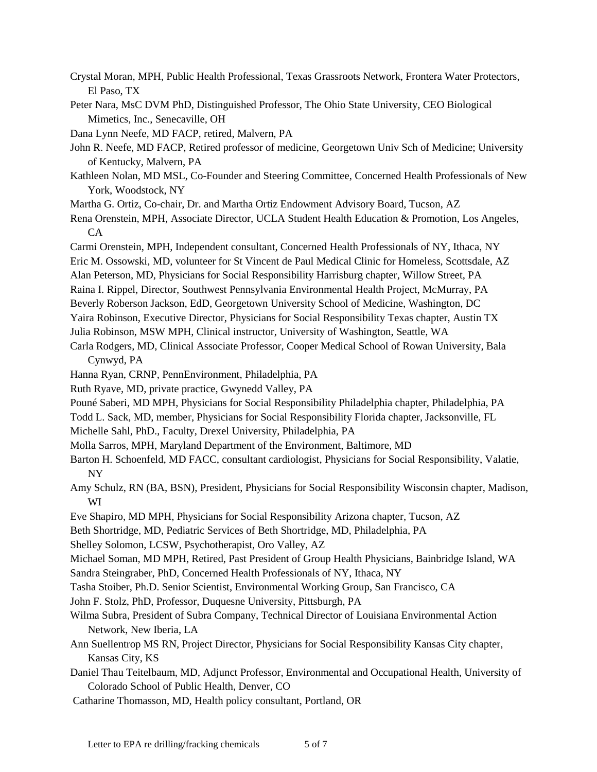- Crystal Moran, MPH, Public Health Professional, Texas Grassroots Network, Frontera Water Protectors, El Paso, TX
- Peter Nara, MsC DVM PhD, Distinguished Professor, The Ohio State University, CEO Biological Mimetics, Inc., Senecaville, OH
- Dana Lynn Neefe, MD FACP, retired, Malvern, PA
- John R. Neefe, MD FACP, Retired professor of medicine, Georgetown Univ Sch of Medicine; University of Kentucky, Malvern, PA
- Kathleen Nolan, MD MSL, Co-Founder and Steering Committee, Concerned Health Professionals of New York, Woodstock, NY
- Martha G. Ortiz, Co-chair, Dr. and Martha Ortiz Endowment Advisory Board, Tucson, AZ

Rena Orenstein, MPH, Associate Director, UCLA Student Health Education & Promotion, Los Angeles,  $CA$ 

- Carmi Orenstein, MPH, Independent consultant, Concerned Health Professionals of NY, Ithaca, NY
- Eric M. Ossowski, MD, volunteer for St Vincent de Paul Medical Clinic for Homeless, Scottsdale, AZ
- Alan Peterson, MD, Physicians for Social Responsibility Harrisburg chapter, Willow Street, PA
- Raina I. Rippel, Director, Southwest Pennsylvania Environmental Health Project, McMurray, PA
- Beverly Roberson Jackson, EdD, Georgetown University School of Medicine, Washington, DC
- Yaira Robinson, Executive Director, Physicians for Social Responsibility Texas chapter, Austin TX
- Julia Robinson, MSW MPH, Clinical instructor, University of Washington, Seattle, WA
- Carla Rodgers, MD, Clinical Associate Professor, Cooper Medical School of Rowan University, Bala Cynwyd, PA
- Hanna Ryan, CRNP, PennEnvironment, Philadelphia, PA
- Ruth Ryave, MD, private practice, Gwynedd Valley, PA
- Pouné Saberi, MD MPH, Physicians for Social Responsibility Philadelphia chapter, Philadelphia, PA
- Todd L. Sack, MD, member, Physicians for Social Responsibility Florida chapter, Jacksonville, FL
- Michelle Sahl, PhD., Faculty, Drexel University, Philadelphia, PA
- Molla Sarros, MPH, Maryland Department of the Environment, Baltimore, MD
- Barton H. Schoenfeld, MD FACC, consultant cardiologist, Physicians for Social Responsibility, Valatie, NY
- Amy Schulz, RN (BA, BSN), President, Physicians for Social Responsibility Wisconsin chapter, Madison, WI
- Eve Shapiro, MD MPH, Physicians for Social Responsibility Arizona chapter, Tucson, AZ
- Beth Shortridge, MD, Pediatric Services of Beth Shortridge, MD, Philadelphia, PA
- Shelley Solomon, LCSW, Psychotherapist, Oro Valley, AZ
- Michael Soman, MD MPH, Retired, Past President of Group Health Physicians, Bainbridge Island, WA
- Sandra Steingraber, PhD, Concerned Health Professionals of NY, Ithaca, NY
- Tasha Stoiber, Ph.D. Senior Scientist, Environmental Working Group, San Francisco, CA
- John F. Stolz, PhD, Professor, Duquesne University, Pittsburgh, PA
- Wilma Subra, President of Subra Company, Technical Director of Louisiana Environmental Action Network, New Iberia, LA
- Ann Suellentrop MS RN, Project Director, Physicians for Social Responsibility Kansas City chapter, Kansas City, KS
- Daniel Thau Teitelbaum, MD, Adjunct Professor, Environmental and Occupational Health, University of Colorado School of Public Health, Denver, CO
- Catharine Thomasson, MD, Health policy consultant, Portland, OR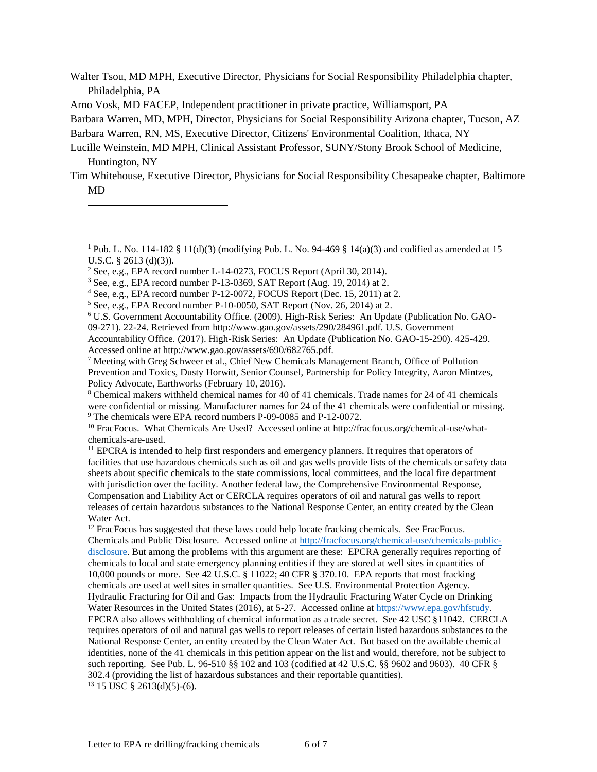Walter Tsou, MD MPH, Executive Director, Physicians for Social Responsibility Philadelphia chapter, Philadelphia, PA

Arno Vosk, MD FACEP, Independent practitioner in private practice, Williamsport, PA

Barbara Warren, MD, MPH, Director, Physicians for Social Responsibility Arizona chapter, Tucson, AZ

l

<sup>4</sup> See, e.g., EPA record number P-12-0072, FOCUS Report (Dec. 15, 2011) at 2.

<sup>6</sup> U.S. Government Accountability Office. (2009). High-Risk Series: An Update (Publication No. GAO-

09-271). 22-24. Retrieved from http://www.gao.gov/assets/290/284961.pdf. U.S. Government Accountability Office. (2017). High-Risk Series: An Update (Publication No. GAO-15-290). 425-429. Accessed online at http://www.gao.gov/assets/690/682765.pdf.

<sup>7</sup> Meeting with Greg Schweer et al., Chief New Chemicals Management Branch, Office of Pollution Prevention and Toxics, Dusty Horwitt, Senior Counsel, Partnership for Policy Integrity, Aaron Mintzes, Policy Advocate, Earthworks (February 10, 2016).

<sup>8</sup> Chemical makers withheld chemical names for 40 of 41 chemicals. Trade names for 24 of 41 chemicals were confidential or missing. Manufacturer names for 24 of the 41 chemicals were confidential or missing. <sup>9</sup> The chemicals were EPA record numbers P-09-0085 and P-12-0072.

<sup>11</sup> EPCRA is intended to help first responders and emergency planners. It requires that operators of facilities that use hazardous chemicals such as oil and gas wells provide lists of the chemicals or safety data sheets about specific chemicals to the state commissions, local committees, and the local fire department with jurisdiction over the facility. Another federal law, the Comprehensive Environmental Response, Compensation and Liability Act or CERCLA requires operators of oil and natural gas wells to report releases of certain hazardous substances to the National Response Center, an entity created by the Clean Water Act.

<sup>12</sup> FracFocus has suggested that these laws could help locate fracking chemicals. See FracFocus. Chemicals and Public Disclosure. Accessed online at [http://fracfocus.org/chemical-use/chemicals-public](http://fracfocus.org/chemical-use/chemicals-public-disclosure)[disclosure.](http://fracfocus.org/chemical-use/chemicals-public-disclosure) But among the problems with this argument are these: EPCRA generally requires reporting of chemicals to local and state emergency planning entities if they are stored at well sites in quantities of 10,000 pounds or more. See 42 U.S.C. § 11022; 40 CFR § 370.10. EPA reports that most fracking chemicals are used at well sites in smaller quantities. See U.S. Environmental Protection Agency. Hydraulic Fracturing for Oil and Gas: Impacts from the Hydraulic Fracturing Water Cycle on Drinking Water Resources in the United States (2016), at 5-27. Accessed online at [https://www.epa.gov/hfstudy.](https://www.epa.gov/hfstudy)  EPCRA also allows withholding of chemical information as a trade secret. See 42 USC §11042. CERCLA requires operators of oil and natural gas wells to report releases of certain listed hazardous substances to the National Response Center, an entity created by the Clean Water Act. But based on the available chemical identities, none of the 41 chemicals in this petition appear on the list and would, therefore, not be subject to such reporting. See Pub. L. 96-510 §§ 102 and 103 (codified at 42 U.S.C. §§ 9602 and 9603). 40 CFR § 302.4 (providing the list of hazardous substances and their reportable quantities).  $13$  15 USC § 2613(d)(5)-(6).

Barbara Warren, RN, MS, Executive Director, Citizens' Environmental Coalition, Ithaca, NY

Lucille Weinstein, MD MPH, Clinical Assistant Professor, SUNY/Stony Brook School of Medicine, Huntington, NY

Tim Whitehouse, Executive Director, Physicians for Social Responsibility Chesapeake chapter, Baltimore MD

<sup>&</sup>lt;sup>1</sup> Pub. L. No. 114-182 § 11(d)(3) (modifying Pub. L. No. 94-469 § 14(a)(3) and codified as amended at 15 U.S.C. § 2613 (d)(3)).

 $2$  See, e.g., EPA record number L-14-0273, FOCUS Report (April 30, 2014).

 $3$  See, e.g., EPA record number P-13-0369, SAT Report (Aug. 19, 2014) at 2.

<sup>5</sup> See, e.g., EPA Record number P-10-0050, SAT Report (Nov. 26, 2014) at 2.

<sup>10</sup> FracFocus. What Chemicals Are Used? Accessed online at http://fracfocus.org/chemical-use/whatchemicals-are-used.